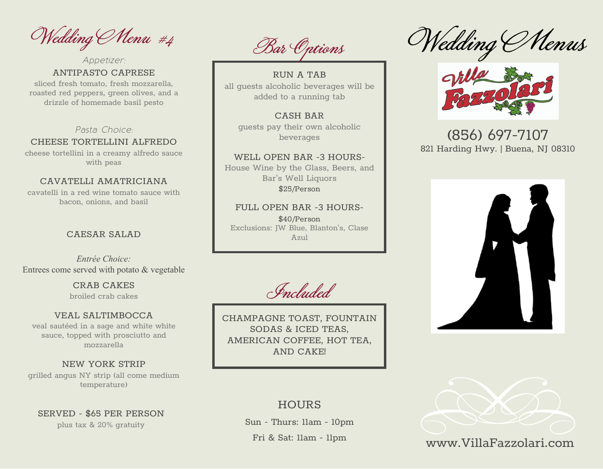Wedding Menu #4

ANTIPASTO CAPRESE *Appetizer:*

sliced fresh tomato, fresh mozzarella, roasted red peppers, green olives, and a drizzle of homemade basil pesto

*Pasta Choice:*

#### CHEESE TORTELLINI ALFREDO

cheese tortellini in a creamy alfredo sauce with peas

### CAVATELLI AMATRICIANA

cavatelli in a red wine tomato sauce with bacon, onions, and basil

#### CAESAR SALAD

*Entrée Choice:* Entrees come served with potato & vegetable

> CRAB CAKES broiled crab cakes

#### VEAL SALTIMBOCCA

veal sautéed in a sage and white white sauce, topped with prosciutto and mozzarella

NEW YORK STRIP grilled angus NY strip (all come medium temperature)

SERVED - \$65 PER PERSON plus tax & 20% gratuity

Bar Options

RUN A TAB all guests alcoholic beverages will be added to a running tab

CASH BAR guests pay their own alcoholic beverages

WELL OPEN BAR -3 HOURS-House Wine by the Glass, Beers, and Bar's Well Liquors \$25/Person

FULL OPEN BAR -3 HOURS- \$40/Person Exclusions: JW Blue, Blanton's, Clase Azul

Included

CHAMPAGNE TOAST, FOUNTAIN SODAS & ICED TEAS, AMERICAN COFFEE, HOT TEA, AND CAKE!

# Wedding Menus



# (856) 697-7107 821 Harding Hwy. | Buena, NJ 08310





# www.VillaFazzolari.com

## **HOURS**

Sun - Thurs: 11am - 10pm

Fri & Sat: 11am - 11pm